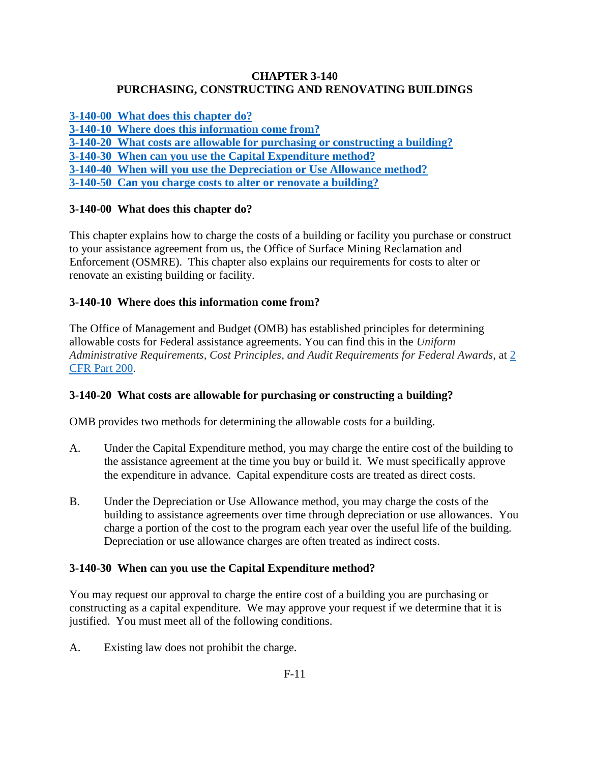### **CHAPTER 3-140 PURCHASING, CONSTRUCTING AND RENOVATING BUILDINGS**

**[3-140-00 What does this chapter do?](#page-0-0)**

**[3-140-10 Where does this information come from?](#page-0-1)**

**[3-140-20 What costs are allowable for purchasing or constructing a building?](#page-0-2)**

**[3-140-30 When can you use the Capital Expenditure method?](#page-0-3)**

**[3-140-40 When will you use the Depreciation or Use Allowance method?](#page-1-0)**

**[3-140-50 Can you charge costs to alter or renovate a building?](#page-1-1)**

# <span id="page-0-0"></span>**3-140-00 What does this chapter do?**

This chapter explains how to charge the costs of a building or facility you purchase or construct to your assistance agreement from us, the Office of Surface Mining Reclamation and Enforcement (OSMRE). This chapter also explains our requirements for costs to alter or renovate an existing building or facility.

# <span id="page-0-1"></span>**3-140-10 Where does this information come from?**

The Office of Management and Budget (OMB) has established principles for determining allowable costs for Federal assistance agreements. You can find this in the *Uniform Administrative Requirements, Cost Principles, and Audit Requirements for Federal Awards*, at [2](http://www.ecfr.gov/cgi-bin/text-idx?SID=f6ddafc06dfa494200fbc08fe01681ec&node=pt2.1.200&rgn=div5)  [CFR Part 200.](http://www.ecfr.gov/cgi-bin/text-idx?SID=f6ddafc06dfa494200fbc08fe01681ec&node=pt2.1.200&rgn=div5)

# <span id="page-0-2"></span>**3-140-20 What costs are allowable for purchasing or constructing a building?**

OMB provides two methods for determining the allowable costs for a building.

- A. Under the Capital Expenditure method, you may charge the entire cost of the building to the assistance agreement at the time you buy or build it. We must specifically approve the expenditure in advance. Capital expenditure costs are treated as direct costs.
- B. Under the Depreciation or Use Allowance method, you may charge the costs of the building to assistance agreements over time through depreciation or use allowances. You charge a portion of the cost to the program each year over the useful life of the building. Depreciation or use allowance charges are often treated as indirect costs.

## <span id="page-0-3"></span>**3-140-30 When can you use the Capital Expenditure method?**

You may request our approval to charge the entire cost of a building you are purchasing or constructing as a capital expenditure. We may approve your request if we determine that it is justified. You must meet all of the following conditions.

A. Existing law does not prohibit the charge.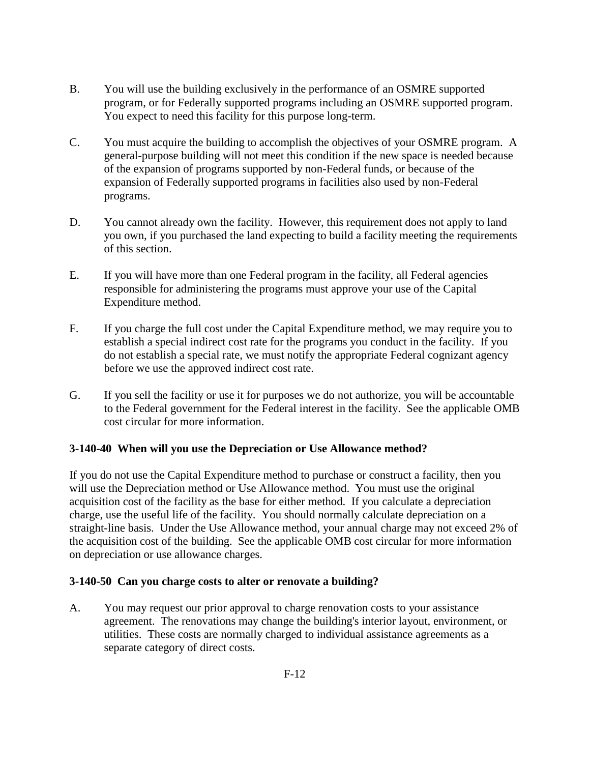- B. You will use the building exclusively in the performance of an OSMRE supported program, or for Federally supported programs including an OSMRE supported program. You expect to need this facility for this purpose long-term.
- C. You must acquire the building to accomplish the objectives of your OSMRE program. A general-purpose building will not meet this condition if the new space is needed because of the expansion of programs supported by non-Federal funds, or because of the expansion of Federally supported programs in facilities also used by non-Federal programs.
- D. You cannot already own the facility. However, this requirement does not apply to land you own, if you purchased the land expecting to build a facility meeting the requirements of this section.
- E. If you will have more than one Federal program in the facility, all Federal agencies responsible for administering the programs must approve your use of the Capital Expenditure method.
- F. If you charge the full cost under the Capital Expenditure method, we may require you to establish a special indirect cost rate for the programs you conduct in the facility. If you do not establish a special rate, we must notify the appropriate Federal cognizant agency before we use the approved indirect cost rate.
- G. If you sell the facility or use it for purposes we do not authorize, you will be accountable to the Federal government for the Federal interest in the facility. See the applicable OMB cost circular for more information.

## <span id="page-1-0"></span>**3-140-40 When will you use the Depreciation or Use Allowance method?**

If you do not use the Capital Expenditure method to purchase or construct a facility, then you will use the Depreciation method or Use Allowance method. You must use the original acquisition cost of the facility as the base for either method. If you calculate a depreciation charge, use the useful life of the facility. You should normally calculate depreciation on a straight-line basis. Under the Use Allowance method, your annual charge may not exceed 2% of the acquisition cost of the building. See the applicable OMB cost circular for more information on depreciation or use allowance charges.

#### <span id="page-1-1"></span>**3-140-50 Can you charge costs to alter or renovate a building?**

A. You may request our prior approval to charge renovation costs to your assistance agreement. The renovations may change the building's interior layout, environment, or utilities. These costs are normally charged to individual assistance agreements as a separate category of direct costs.